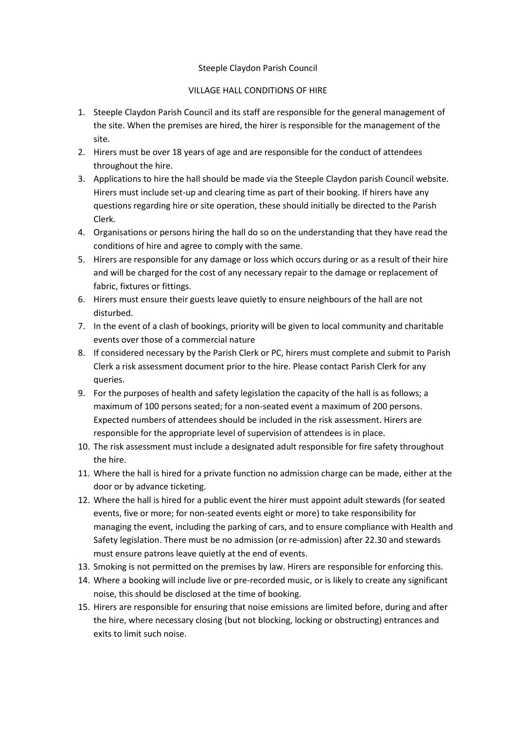## Steeple Claydon Parish Council

## VILLAGE HALL CONDITIONS OF HIRE

- 1. Steeple Claydon Parish Council and its staff are responsible for the general management of the site. When the premises are hired, the hirer is responsible for the management of the site.
- 2. Hirers must be over 18 years of age and are responsible for the conduct of attendees throughout the hire.
- 3. Applications to hire the hall should be made via the Steeple Claydon parish Council website. Hirers must include set-up and clearing time as part of their booking. If hirers have any questions regarding hire or site operation, these should initially be directed to the Parish Clerk.
- 4. Organisations or persons hiring the hall do so on the understanding that they have read the conditions of hire and agree to comply with the same.
- 5. Hirers are responsible for any damage or loss which occurs during or as a result of their hire and will be charged for the cost of any necessary repair to the damage or replacement of fabric, fixtures or fittings.
- 6. Hirers must ensure their guests leave quietly to ensure neighbours of the hall are not disturbed.
- 7. In the event of a clash of bookings, priority will be given to local community and charitable events over those of a commercial nature
- 8. If considered necessary by the Parish Clerk or PC, hirers must complete and submit to Parish Clerk a risk assessment document prior to the hire. Please contact Parish Clerk for any queries.
- 9. For the purposes of health and safety legislation the capacity of the hall is as follows; a maximum of 100 persons seated; for a non-seated event a maximum of 200 persons. Expected numbers of attendees should be included in the risk assessment. Hirers are responsible for the appropriate level of supervision of attendees is in place.
- 10. The risk assessment must include a designated adult responsible for fire safety throughout the hire.
- 11. Where the hall is hired for a private function no admission charge can be made, either at the door or by advance ticketing.
- 12. Where the hall is hired for a public event the hirer must appoint adult stewards (for seated events, five or more; for non-seated events eight or more) to take responsibility for managing the event, including the parking of cars, and to ensure compliance with Health and Safety legislation. There must be no admission (or re-admission) after 22.30 and stewards must ensure patrons leave quietly at the end of events.
- 13. Smoking is not permitted on the premises by law. Hirers are responsible for enforcing this.
- 14. Where a booking will include live or pre-recorded music, or is likely to create any significant noise, this should be disclosed at the time of booking.
- 15. Hirers are responsible for ensuring that noise emissions are limited before, during and after the hire, where necessary closing (but not blocking, locking or obstructing) entrances and exits to limit such noise.